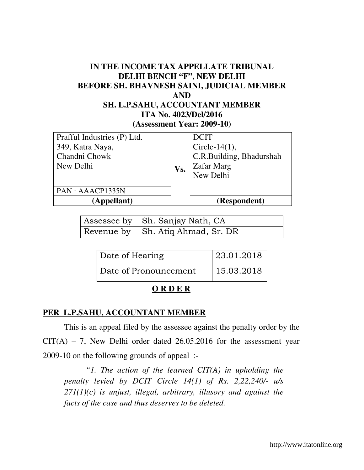### **IN THE INCOME TAX APPELLATE TRIBUNAL DELHI BENCH "F", NEW DELHI BEFORE SH. BHAVNESH SAINI, JUDICIAL MEMBER AND SH. L.P.SAHU, ACCOUNTANT MEMBER ITA No. 4023/Del/2016 (Assessment Year: 2009-10)**

| Prafful Industries (P) Ltd. |     | <b>DCIT</b>              |
|-----------------------------|-----|--------------------------|
| 349, Katra Naya,            |     | Circle-14 $(1)$ ,        |
| Chandni Chowk               |     | C.R.Building, Bhadurshah |
| New Delhi                   | Vs. | <b>Zafar Marg</b>        |
|                             |     | New Delhi                |
|                             |     |                          |
| PAN : AAACP1335N            |     |                          |
| (Appellant)                 |     | (Respondent)             |

| Assessee by Sh. Sanjay Nath, CA   |
|-----------------------------------|
| Revenue by Sh. Atiq Ahmad, Sr. DR |

| Date of Hearing       | 23.01.2018 |
|-----------------------|------------|
| Date of Pronouncement | 15.03.2018 |

#### **O R D E R**

#### **PER L.P.SAHU, ACCOUNTANT MEMBER**

 This is an appeal filed by the assessee against the penalty order by the  $CIT(A) - 7$ , New Delhi order dated 26.05.2016 for the assessment year 2009-10 on the following grounds of appeal :-

*"1. The action of the learned CIT(A) in upholding the penalty levied by DCIT Circle 14(1) of Rs. 2,22,240/- u/s 271(1)(c) is unjust, illegal, arbitrary, illusory and against the facts of the case and thus deserves to be deleted.*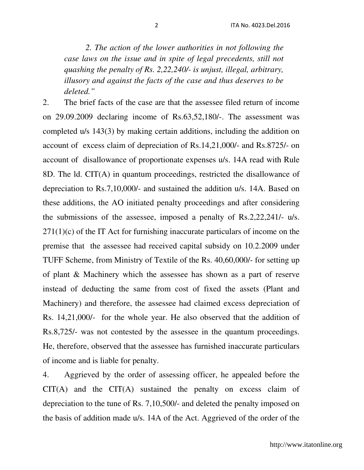*2. The action of the lower authorities in not following the case laws on the issue and in spite of legal precedents, still not quashing the penalty of Rs. 2,22,240/- is unjust, illegal, arbitrary, illusory and against the facts of the case and thus deserves to be deleted."* 

2. The brief facts of the case are that the assessee filed return of income on 29.09.2009 declaring income of Rs.63,52,180/-. The assessment was completed u/s 143(3) by making certain additions, including the addition on account of excess claim of depreciation of Rs.14,21,000/- and Rs.8725/- on account of disallowance of proportionate expenses u/s. 14A read with Rule 8D. The ld. CIT(A) in quantum proceedings, restricted the disallowance of depreciation to Rs.7,10,000/- and sustained the addition u/s. 14A. Based on these additions, the AO initiated penalty proceedings and after considering the submissions of the assessee, imposed a penalty of Rs.2,22,241/- u/s.  $271(1)(c)$  of the IT Act for furnishing inaccurate particulars of income on the premise that the assessee had received capital subsidy on 10.2.2009 under TUFF Scheme, from Ministry of Textile of the Rs. 40,60,000/- for setting up of plant & Machinery which the assessee has shown as a part of reserve instead of deducting the same from cost of fixed the assets (Plant and Machinery) and therefore, the assessee had claimed excess depreciation of Rs. 14,21,000/- for the whole year. He also observed that the addition of Rs.8,725/- was not contested by the assessee in the quantum proceedings. He, therefore, observed that the assessee has furnished inaccurate particulars of income and is liable for penalty.

4. Aggrieved by the order of assessing officer, he appealed before the CIT(A) and the CIT(A) sustained the penalty on excess claim of depreciation to the tune of Rs. 7,10,500/- and deleted the penalty imposed on the basis of addition made u/s. 14A of the Act. Aggrieved of the order of the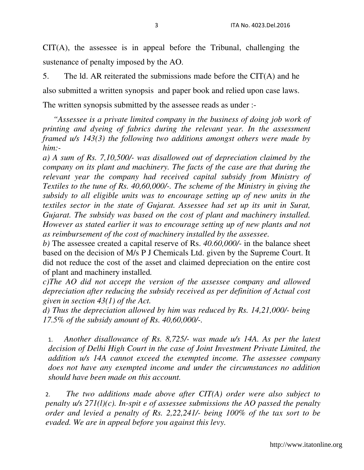CIT(A), the assessee is in appeal before the Tribunal, challenging the sustenance of penalty imposed by the AO.

5. The ld. AR reiterated the submissions made before the CIT(A) and he also submitted a written synopsis and paper book and relied upon case laws. The written synopsis submitted by the assessee reads as under :-

 *"Assessee is a private limited company in the business of doing job work of printing and dyeing of fabrics during the relevant year. In the assessment framed u/s 143(3) the following two additions amongst others were made by him:-* 

*a) A sum of Rs. 7,10,500/- was disallowed out of depreciation claimed by the company on its plant and machinery. The facts of the case are that during the relevant year the company had received capital subsidy from Ministry of Textiles to the tune of Rs. 40,60,000/-. The scheme of the Ministry in giving the subsidy to all eligible units was to encourage setting up of new units in the textiles sector in the state of Gujarat. Assessee had set up its unit in Surat, Gujarat. The subsidy was based on the cost of plant and machinery installed. However as stated earlier it was to encourage setting up of new plants and not as reimbursement of the cost of machinery installed by the assessee.* 

*b)* The assessee created a capital reserve of Rs. *40.60,000/-* in the balance sheet based on the decision of M/s P J Chemicals Ltd. given by the Supreme Court. It did not reduce the cost of the asset and claimed depreciation on the entire cost of plant and machinery installed*.* 

*c)The AO did not accept the version of the assessee company and allowed depreciation after reducing the subsidy received as per definition of Actual cost given in section 43(1) of the Act.* 

*d) Thus the depreciation allowed by him was reduced by Rs. 14,21,000/- being 17.5% of the subsidy amount of Rs. 40,60,000/-.* 

1. *Another disallowance of Rs. 8,725/- was made u/s 14A. As per the latest decision of Delhi High Court in the case of Joint Investment Private Limited, the addition u/s 14A cannot exceed the exempted income. The assessee company does not have any exempted income and under the circumstances no addition should have been made on this account.* 

2. *The two additions made above after CIT(A) order were also subject to penalty u/s 271(l)(c). In-spit e of assessee submissions the AO passed the penalty order and levied a penalty of Rs. 2,22,241/- being 100% of the tax sort to be evaded. We are in appeal before you against this levy.*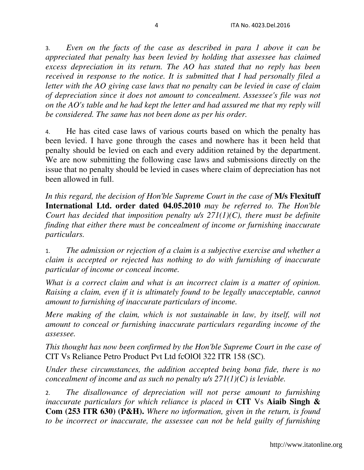3. *Even on the facts of the case as described in para 1 above it can be appreciated that penalty has been levied by holding that assessee has claimed excess depreciation in its return. The AO has stated that no reply has been received in response to the notice. It is submitted that I had personally filed a letter with the AO giving case laws that no penalty can be levied in case of claim of depreciation since it does not amount to concealment. Assessee's file was not on the AO's table and he had kept the letter and had assured me that my reply will be considered. The same has not been done as per his order.* 

4. He has cited case laws of various courts based on which the penalty has been levied. I have gone through the cases and nowhere has it been held that penalty should be levied on each and every addition retained by the department. We are now submitting the following case laws and submissions directly on the issue that no penalty should be levied in cases where claim of depreciation has not been allowed in full.

*In this regard, the decision of Hon'ble Supreme Court in the case of* **M/s Flexituff International Ltd. order dated 04.05.2010** *may be referred to. The Hon'ble Court has decided that imposition penalty u/s 271(1)(C), there must be definite finding that either there must be concealment of income or furnishing inaccurate particulars.* 

1. *The admission or rejection of a claim is a subjective exercise and whether a claim is accepted or rejected has nothing to do with furnishing of inaccurate particular of income or conceal income.* 

*What is a correct claim and what is an incorrect claim is a matter of opinion. Raising a claim, even if it is ultimately found to be legally unacceptable, cannot amount to furnishing of inaccurate particulars of income.* 

*Mere making of the claim, which is not sustainable in law, by itself, will not amount to conceal or furnishing inaccurate particulars regarding income of the assessee.* 

*This thought has now been confirmed by the Hon'ble Supreme Court in the case of*  CIT Vs Reliance Petro Product Pvt Ltd fcOlOl 322 ITR 158 (SC)*.* 

*Under these circumstances, the addition accepted being bona fide, there is no concealment of income and as such no penalty u/s 271(1)(C) is leviable.* 

2. *The disallowance of depreciation will not perse amount to furnishing inaccurate particulars for which reliance is placed in* **CIT** Vs **Aiaib Singh & Com (253 ITR 630) (P&H).** *Where no information, given in the return, is found to be incorrect or inaccurate, the assessee can not be held guilty of furnishing*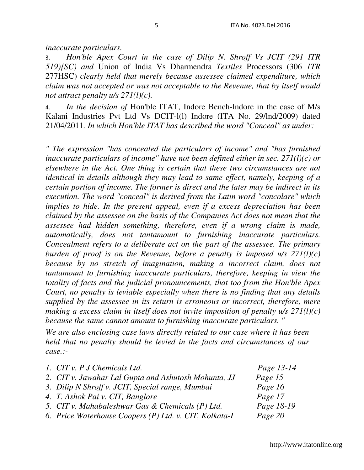*inaccurate particulars.* 

3. *Hon'ble Apex Court in the case of Dilip N. Shroff Vs JCIT (291 ITR 519){SC) and* Union of India Vs Dharmendra *Textiles* Processors (306 *1TR*  277HSC) *clearly held that merely because assessee claimed expenditure, which claim was not accepted or was not acceptable to the Revenue, that by itself would not attract penalty u/s 271(l)(c).* 

4. *In the decision of* Hon'ble ITAT, Indore Bench-lndore in the case of M/s Kalani Industries Pvt Ltd Vs DCIT-l(l) Indore (ITA No. 29/lnd/2009) dated 21/04/2011*. In which Hon'ble ITAT has described the word "Conceal" as under:* 

*" The expression "has concealed the particulars of income" and "has furnished inaccurate particulars of income" have not been defined either in sec. 271(l)(c) or elsewhere in the Act. One thing is certain that these two circumstances are not identical in details although they may lead to same effect, namely, keeping of a certain portion of income. The former is direct and the later may be indirect in its execution. The word "conceal" is derived from the Latin word "concolare" which implies to hide. In the present appeal, even if a excess depreciation has been claimed by the assessee on the basis of the Companies Act does not mean that the assessee had hidden something, therefore, even if a wrong claim is made, automatically, does not tantamount to furnishing inaccurate particulars. Concealment refers to a deliberate act on the part of the assessee. The primary burden of proof is on the Revenue, before a penalty is imposed u/s 271(l)(c) because by no stretch of imagination, making a incorrect claim, does not tantamount to furnishing inaccurate particulars, therefore, keeping in view the totality of facts and the judicial pronouncements, that too from the Hon'ble Apex Court, no penalty is leviable especially when there is no finding that any details supplied by the assessee in its return is erroneous or incorrect, therefore, mere making a excess claim in itself does not invite imposition of penalty u/s 271(l)(c) because the same cannot amount to furnishing inaccurate particulars. "* 

*We are also enclosing case laws directly related to our case where it has been held that no penalty should be levied in the facts and circumstances of our case.:-* 

| 1. CIT v. P J Chemicals Ltd.                           | Page 13-14 |
|--------------------------------------------------------|------------|
| 2. CIT v. Jawahar Lal Gupta and Ashutosh Mohunta, JJ   | Page 15    |
| 3. Dilip N Shroff v. JCIT, Special range, Mumbai       | Page 16    |
| 4. T. Ashok Pai v. CIT, Banglore                       | Page 17    |
| 5. CIT v. Mahabaleshwar Gas & Chemicals (P) Ltd.       | Page 18-19 |
| 6. Price Waterhouse Coopers (P) Ltd. v. CIT, Kolkata-I | Page 20    |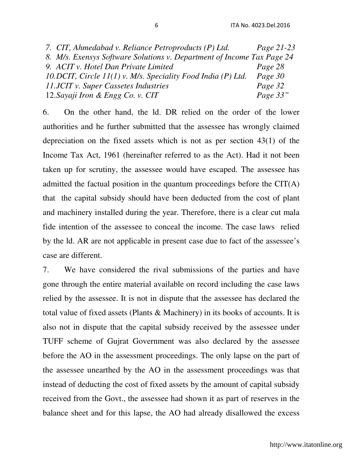| 7. CIT, Ahmedabad v. Reliance Petroproducts (P) Ltd.                   | Page 21-23 |
|------------------------------------------------------------------------|------------|
| 8. M/s. Exensys Software Solutions v. Department of Income Tax Page 24 |            |
| 9. ACIT v. Hotel Dan Private Limited                                   | Page 28    |
| 10. DCIT, Circle $11(1)$ v. M/s. Speciality Food India (P) Ltd.        | Page 30    |
| 11.JCIT v. Super Cassetes Industries                                   | Page 32    |
| 12. Sayaji Iron & Engg Co. v. CIT                                      | Page 33"   |

6. On the other hand, the ld. DR relied on the order of the lower authorities and he further submitted that the assessee has wrongly claimed depreciation on the fixed assets which is not as per section 43(1) of the Income Tax Act, 1961 (hereinafter referred to as the Act). Had it not been taken up for scrutiny, the assessee would have escaped. The assessee has admitted the factual position in the quantum proceedings before the CIT(A) that the capital subsidy should have been deducted from the cost of plant and machinery installed during the year. Therefore, there is a clear cut mala fide intention of the assessee to conceal the income. The case laws relied by the ld. AR are not applicable in present case due to fact of the assessee's case are different.

7. We have considered the rival submissions of the parties and have gone through the entire material available on record including the case laws relied by the assessee. It is not in dispute that the assessee has declared the total value of fixed assets (Plants & Machinery) in its books of accounts. It is also not in dispute that the capital subsidy received by the assessee under TUFF scheme of Gujrat Government was also declared by the assessee before the AO in the assessment proceedings. The only lapse on the part of the assessee unearthed by the AO in the assessment proceedings was that instead of deducting the cost of fixed assets by the amount of capital subsidy received from the Govt., the assessee had shown it as part of reserves in the balance sheet and for this lapse, the AO had already disallowed the excess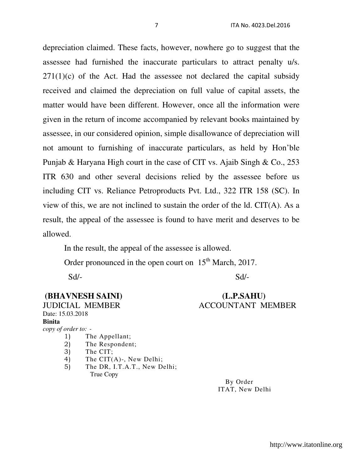depreciation claimed. These facts, however, nowhere go to suggest that the assessee had furnished the inaccurate particulars to attract penalty u/s.  $271(1)(c)$  of the Act. Had the assessee not declared the capital subsidy received and claimed the depreciation on full value of capital assets, the matter would have been different. However, once all the information were given in the return of income accompanied by relevant books maintained by assessee, in our considered opinion, simple disallowance of depreciation will not amount to furnishing of inaccurate particulars, as held by Hon'ble Punjab & Haryana High court in the case of CIT vs. Ajaib Singh & Co., 253 ITR 630 and other several decisions relied by the assessee before us including CIT vs. Reliance Petroproducts Pvt. Ltd., 322 ITR 158 (SC). In view of this, we are not inclined to sustain the order of the ld. CIT(A). As a result, the appeal of the assessee is found to have merit and deserves to be allowed.

In the result, the appeal of the assessee is allowed.

Order pronounced in the open court on  $15<sup>th</sup>$  March, 2017.

Sd/- Sd/-

## **(BHAVNESH SAINI) (L.P.SAHU)**

# JUDICIAL MEMBER ACCOUNTANT MEMBER

Date: 15.03.2018 **Binita**  *copy of order to: -*  1) The Appellant;

- 2) The Respondent;
- 3) The CIT;
- 4) The CIT(A)-, New Delhi;
- 5) The DR, I.T.A.T., New Delhi; True Copy

 By Order ITAT, New Delhi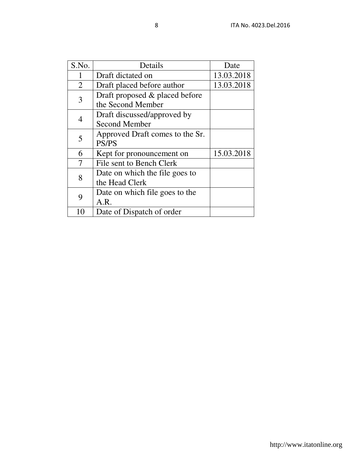| S.No.          | Details                         | Date       |
|----------------|---------------------------------|------------|
|                | Draft dictated on               | 13.03.2018 |
| 2              | Draft placed before author      | 13.03.2018 |
| 3              | Draft proposed & placed before  |            |
|                | the Second Member               |            |
| $\overline{4}$ | Draft discussed/approved by     |            |
|                | <b>Second Member</b>            |            |
| 5              | Approved Draft comes to the Sr. |            |
|                | <b>PS/PS</b>                    |            |
| 6              | Kept for pronouncement on       | 15.03.2018 |
|                | File sent to Bench Clerk        |            |
| 8              | Date on which the file goes to  |            |
|                | the Head Clerk                  |            |
| 9              | Date on which file goes to the  |            |
|                | A.R.                            |            |
| 10             | Date of Dispatch of order       |            |